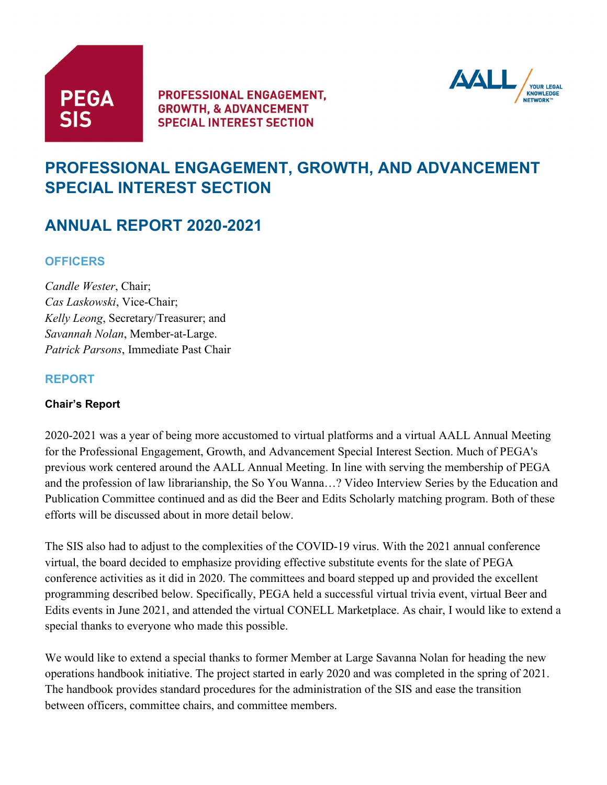



# **PROFESSIONAL ENGAGEMENT, GROWTH, AND ADVANCEMENT SPECIAL INTEREST SECTION**

# **ANNUAL REPORT 2020-2021**

# **OFFICERS**

*Candle Wester*, Chair; *Cas Laskowski*, Vice-Chair; *Kelly Leong*, Secretary/Treasurer; and *Savannah Nolan*, Member-at-Large. *Patrick Parsons*, Immediate Past Chair

# **REPORT**

#### **Chair's Report**

2020-2021 was a year of being more accustomed to virtual platforms and a virtual AALL Annual Meeting for the Professional Engagement, Growth, and Advancement Special Interest Section. Much of PEGA's previous work centered around the AALL Annual Meeting. In line with serving the membership of PEGA and the profession of law librarianship, the So You Wanna…? Video Interview Series by the Education and Publication Committee continued and as did the Beer and Edits Scholarly matching program. Both of these efforts will be discussed about in more detail below.

The SIS also had to adjust to the complexities of the COVID-19 virus. With the 2021 annual conference virtual, the board decided to emphasize providing effective substitute events for the slate of PEGA conference activities as it did in 2020. The committees and board stepped up and provided the excellent programming described below. Specifically, PEGA held a successful virtual trivia event, virtual Beer and Edits events in June 2021, and attended the virtual CONELL Marketplace. As chair, I would like to extend a special thanks to everyone who made this possible.

We would like to extend a special thanks to former Member at Large Savanna Nolan for heading the new operations handbook initiative. The project started in early 2020 and was completed in the spring of 2021. The handbook provides standard procedures for the administration of the SIS and ease the transition between officers, committee chairs, and committee members.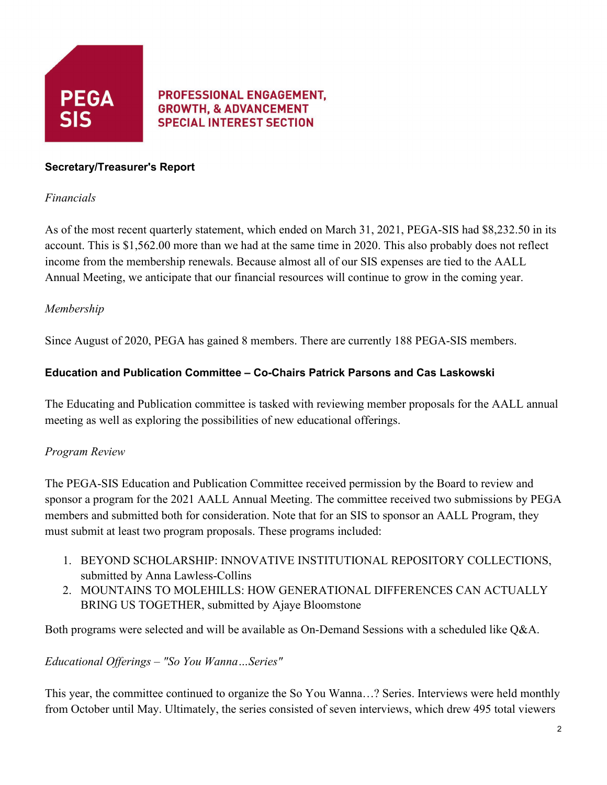

#### **Secretary/Treasurer's Report**

#### *Financials*

As of the most recent quarterly statement, which ended on March 31, 2021, PEGA-SIS had \$8,232.50 in its account. This is \$1,562.00 more than we had at the same time in 2020. This also probably does not reflect income from the membership renewals. Because almost all of our SIS expenses are tied to the AALL Annual Meeting, we anticipate that our financial resources will continue to grow in the coming year.

# *Membership*

Since August of 2020, PEGA has gained 8 members. There are currently 188 PEGA-SIS members.

### **Education and Publication Committee – Co-Chairs Patrick Parsons and Cas Laskowski**

The Educating and Publication committee is tasked with reviewing member proposals for the AALL annual meeting as well as exploring the possibilities of new educational offerings.

# *Program Review*

The PEGA-SIS Education and Publication Committee received permission by the Board to review and sponsor a program for the 2021 AALL Annual Meeting. The committee received two submissions by PEGA members and submitted both for consideration. Note that for an SIS to sponsor an AALL Program, they must submit at least two program proposals. These programs included:

- 1. BEYOND SCHOLARSHIP: INNOVATIVE INSTITUTIONAL REPOSITORY COLLECTIONS, submitted by Anna Lawless-Collins
- 2. MOUNTAINS TO MOLEHILLS: HOW GENERATIONAL DIFFERENCES CAN ACTUALLY BRING US TOGETHER, submitted by Ajaye Bloomstone

Both programs were selected and will be available as On-Demand Sessions with a scheduled like Q&A.

#### *Educational Offerings – "So You Wanna…Series"*

This year, the committee continued to organize the So You Wanna…? Series. Interviews were held monthly from October until May. Ultimately, the series consisted of seven interviews, which drew 495 total viewers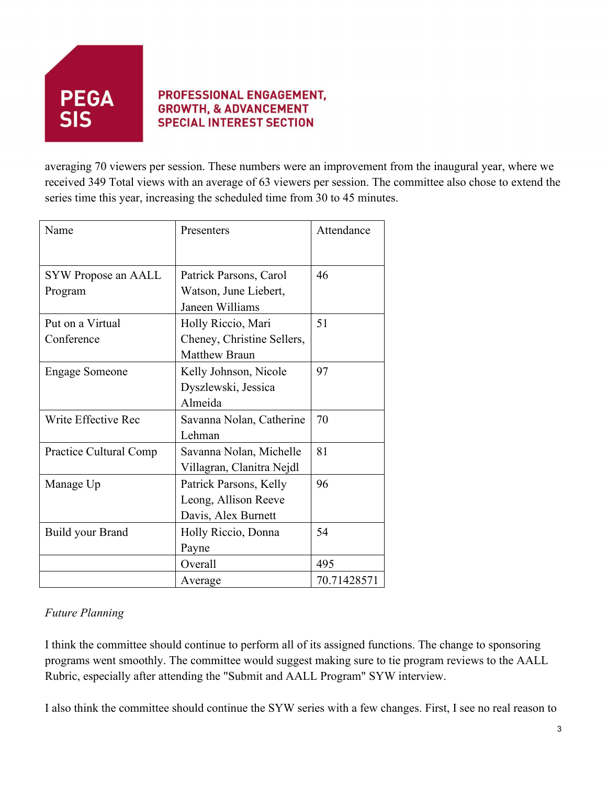

averaging 70 viewers per session. These numbers were an improvement from the inaugural year, where we received 349 Total views with an average of 63 viewers per session. The committee also chose to extend the series time this year, increasing the scheduled time from 30 to 45 minutes.

| Name                   | Presenters                 | Attendance  |
|------------------------|----------------------------|-------------|
|                        |                            |             |
| SYW Propose an AALL    | Patrick Parsons, Carol     | 46          |
| Program                | Watson, June Liebert,      |             |
|                        | Janeen Williams            |             |
| Put on a Virtual       | Holly Riccio, Mari         | 51          |
| Conference             | Cheney, Christine Sellers, |             |
|                        | <b>Matthew Braun</b>       |             |
| <b>Engage Someone</b>  | Kelly Johnson, Nicole      | 97          |
|                        | Dyszlewski, Jessica        |             |
|                        | Almeida                    |             |
| Write Effective Rec    | Savanna Nolan, Catherine   | 70          |
|                        | Lehman                     |             |
| Practice Cultural Comp | Savanna Nolan, Michelle    | 81          |
|                        | Villagran, Clanitra Nejdl  |             |
| Manage Up              | Patrick Parsons, Kelly     | 96          |
|                        | Leong, Allison Reeve       |             |
|                        | Davis, Alex Burnett        |             |
| Build your Brand       | Holly Riccio, Donna        | 54          |
|                        | Payne                      |             |
|                        | Overall                    | 495         |
|                        | Average                    | 70.71428571 |

# *Future Planning*

I think the committee should continue to perform all of its assigned functions. The change to sponsoring programs went smoothly. The committee would suggest making sure to tie program reviews to the AALL Rubric, especially after attending the "Submit and AALL Program" SYW interview.

I also think the committee should continue the SYW series with a few changes. First, I see no real reason to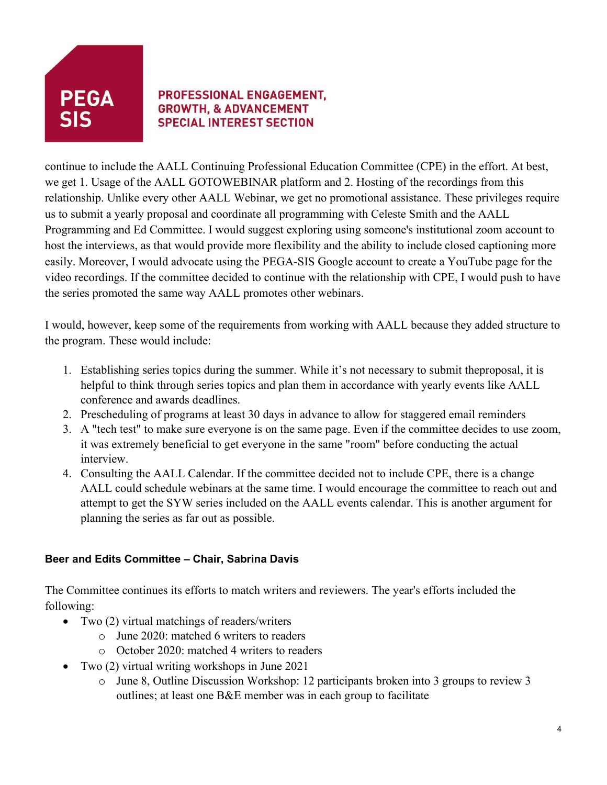

continue to include the AALL Continuing Professional Education Committee (CPE) in the effort. At best, we get 1. Usage of the AALL GOTOWEBINAR platform and 2. Hosting of the recordings from this relationship. Unlike every other AALL Webinar, we get no promotional assistance. These privileges require us to submit a yearly proposal and coordinate all programming with Celeste Smith and the AALL Programming and Ed Committee. I would suggest exploring using someone's institutional zoom account to host the interviews, as that would provide more flexibility and the ability to include closed captioning more easily. Moreover, I would advocate using the PEGA-SIS Google account to create a YouTube page for the video recordings. If the committee decided to continue with the relationship with CPE, I would push to have the series promoted the same way AALL promotes other webinars.

I would, however, keep some of the requirements from working with AALL because they added structure to the program. These would include:

- 1. Establishing series topics during the summer. While it's not necessary to submit theproposal, it is helpful to think through series topics and plan them in accordance with yearly events like AALL conference and awards deadlines.
- 2. Prescheduling of programs at least 30 days in advance to allow for staggered email reminders
- 3. A "tech test" to make sure everyone is on the same page. Even if the committee decides to use zoom, it was extremely beneficial to get everyone in the same "room" before conducting the actual interview.
- 4. Consulting the AALL Calendar. If the committee decided not to include CPE, there is a change AALL could schedule webinars at the same time. I would encourage the committee to reach out and attempt to get the SYW series included on the AALL events calendar. This is another argument for planning the series as far out as possible.

# **Beer and Edits Committee – Chair, Sabrina Davis**

The Committee continues its efforts to match writers and reviewers. The year's efforts included the following:

- Two (2) virtual matchings of readers/writers
	- o June 2020: matched 6 writers to readers
	- o October 2020: matched 4 writers to readers
- Two (2) virtual writing workshops in June 2021
	- o June 8, Outline Discussion Workshop: 12 participants broken into 3 groups to review 3 outlines; at least one B&E member was in each group to facilitate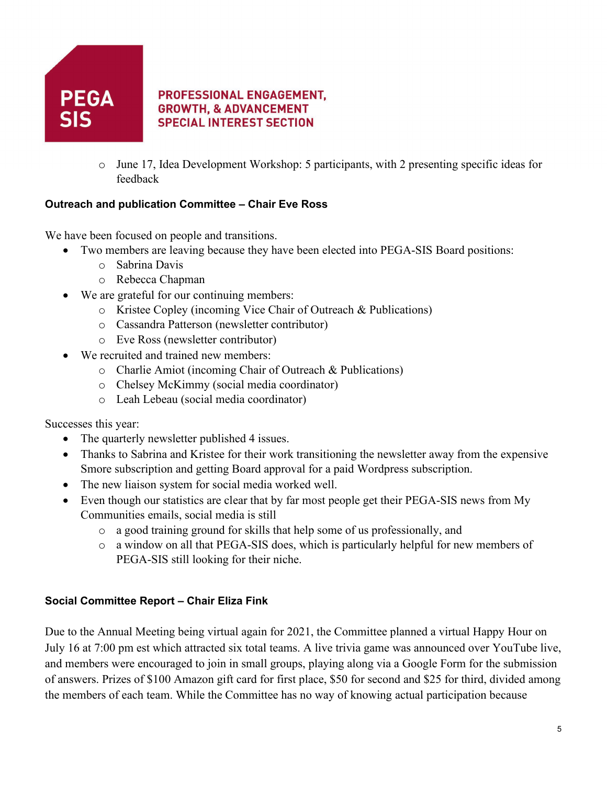

o June 17, Idea Development Workshop: 5 participants, with 2 presenting specific ideas for feedback

#### **Outreach and publication Committee – Chair Eve Ross**

We have been focused on people and transitions.

- Two members are leaving because they have been elected into PEGA-SIS Board positions:
	- o Sabrina Davis
	- o Rebecca Chapman
- We are grateful for our continuing members:
	- o Kristee Copley (incoming Vice Chair of Outreach & Publications)
	- o Cassandra Patterson (newsletter contributor)
	- o Eve Ross (newsletter contributor)
- We recruited and trained new members:
	- o Charlie Amiot (incoming Chair of Outreach & Publications)
	- o Chelsey McKimmy (social media coordinator)
	- o Leah Lebeau (social media coordinator)

Successes this year:

- The quarterly newsletter published 4 issues.
- Thanks to Sabrina and Kristee for their work transitioning the newsletter away from the expensive Smore subscription and getting Board approval for a paid Wordpress subscription.
- The new liaison system for social media worked well.
- Even though our statistics are clear that by far most people get their PEGA-SIS news from My Communities emails, social media is still
	- o a good training ground for skills that help some of us professionally, and
	- o a window on all that PEGA-SIS does, which is particularly helpful for new members of PEGA-SIS still looking for their niche.

#### **Social Committee Report – Chair Eliza Fink**

Due to the Annual Meeting being virtual again for 2021, the Committee planned a virtual Happy Hour on July 16 at 7:00 pm est which attracted six total teams. A live trivia game was announced over YouTube live, and members were encouraged to join in small groups, playing along via a Google Form for the submission of answers. Prizes of \$100 Amazon gift card for first place, \$50 for second and \$25 for third, divided among the members of each team. While the Committee has no way of knowing actual participation because